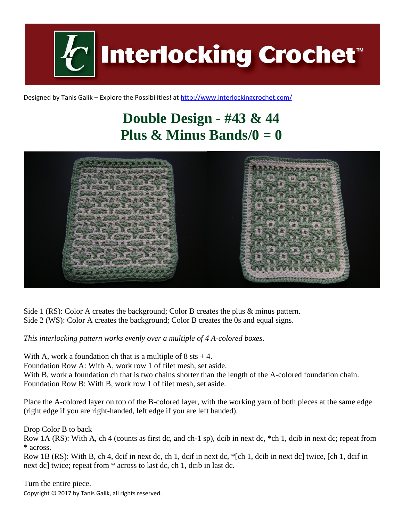**Interlocking Crochet** 

Designed by Tanis Galik – Explore the Possibilities! a[t http://www.interlockingcrochet.com/](http://www.interlockingcrochet.com/)

## **Double Design - #43 & 44 Plus & Minus Bands/0**  $= 0$



Side 1 (RS): Color A creates the background; Color B creates the plus & minus pattern. Side 2 (WS): Color A creates the background; Color B creates the 0s and equal signs.

*This interlocking pattern works evenly over a multiple of 4 A-colored boxes.*

With A, work a foundation ch that is a multiple of  $8$  sts  $+4$ . Foundation Row A: With A, work row 1 of filet mesh, set aside. With B, work a foundation ch that is two chains shorter than the length of the A-colored foundation chain. Foundation Row B: With B, work row 1 of filet mesh, set aside.

Place the A-colored layer on top of the B-colored layer, with the working yarn of both pieces at the same edge (right edge if you are right-handed, left edge if you are left handed).

Drop Color B to back

Row 1A (RS): With A, ch 4 (counts as first dc, and ch-1 sp), dcib in next dc, \*ch 1, dcib in next dc; repeat from \* across.

Row 1B (RS): With B, ch 4, dcif in next dc, ch 1, dcif in next dc, \*[ch 1, dcib in next dc] twice, [ch 1, dcif in next dc] twice; repeat from \* across to last dc, ch 1, dcib in last dc.

Copyright © 2017 by Tanis Galik, all rights reserved. Turn the entire piece.